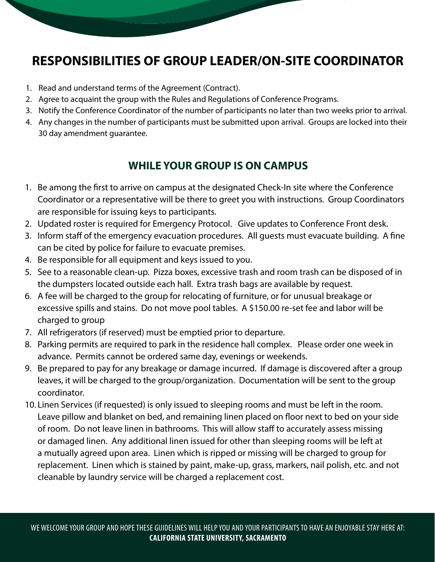## **RESPONSIBILITIES OF GROUP LEADER/ON-SITE COORDINATOR**

- 1. Read and understand terms of the Agreement (Contract).
- 2. Agree to acquaint the group with the Rules and Regulations of Conference Programs.
- 3. Notify the Conference Coordinator of the number of participants no later than two weeks prior to arrival.
- 4. Any changes in the number of participants must be submitted upon arrival. Groups are locked into their 30 day amendment guarantee.

## **WHILE YOUR GROUP IS ON CAMPUS**

- 1. Be among the first to arrive on campus at the designated Check-In site where the Conference Coordinator or a representative will be there to greet you with instructions. Group Coordinators are responsible for issuing keys to participants.
- 2. Updated roster is required for Emergency Protocol. Give updates to Conference Front desk.
- 3. Inform staff of the emergency evacuation procedures. All guests must evacuate building. A fine can be cited by police for failure to evacuate premises.
- 4. Be responsible for all equipment and keys issued to you.
- 5. See to a reasonable clean-up. Pizza boxes, excessive trash and room trash can be disposed of in the dumpsters located outside each hall. Extra trash bags are available by request.
- 6. A fee will be charged to the group for relocating of furniture, or for unusual breakage or excessive spills and stains. Do not move pool tables. A \$150.00 re-set fee and labor will be charged to group
- 7. All refrigerators (if reserved) must be emptied prior to departure.
- 8. Parking permits are required to park in the residence hall complex. Please order one week in advance. Permits cannot be ordered same day, evenings or weekends.
- 9. Be prepared to pay for any breakage or damage incurred. If damage is discovered after a group leaves, it will be charged to the group/organization. Documentation will be sent to the group coordinator.
- 10. Linen Services (if requested) is only issued to sleeping rooms and must be left in the room. Leave pillow and blanket on bed, and remaining linen placed on floor next to bed on your side of room. Do not leave linen in bathrooms. This will allow staff to accurately assess missing or damaged linen. Any additional linen issued for other than sleeping rooms will be left at a mutually agreed upon area. Linen which is ripped or missing will be charged to group for replacement. Linen which is stained by paint, make-up, grass, markers, nail polish, etc. and not cleanable by laundry service will be charged a replacement cost.